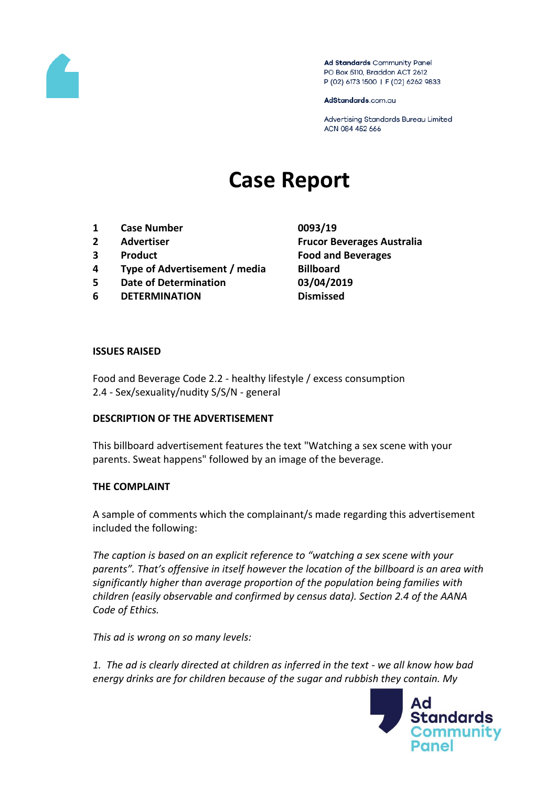

Ad Standards Community Panel PO Box 5110, Braddon ACT 2612 P (02) 6173 1500 | F (02) 6262 9833

AdStandards.com.au

Advertising Standards Bureau Limited ACN 084 452 666

# **Case Report**

- **1 Case Number 0093/19**
- 
- 
- **4 Type of Advertisement / media Billboard**
- **5 Date of Determination 03/04/2019**
- **6 DETERMINATION Dismissed**

**2 Advertiser Frucor Beverages Australia 3 Product Food and Beverages**

#### **ISSUES RAISED**

Food and Beverage Code 2.2 - healthy lifestyle / excess consumption 2.4 - Sex/sexuality/nudity S/S/N - general

#### **DESCRIPTION OF THE ADVERTISEMENT**

This billboard advertisement features the text "Watching a sex scene with your parents. Sweat happens" followed by an image of the beverage.

#### **THE COMPLAINT**

A sample of comments which the complainant/s made regarding this advertisement included the following:

*The caption is based on an explicit reference to "watching a sex scene with your parents". That's offensive in itself however the location of the billboard is an area with significantly higher than average proportion of the population being families with children (easily observable and confirmed by census data). Section 2.4 of the AANA Code of Ethics.*

*This ad is wrong on so many levels:*

*1. The ad is clearly directed at children as inferred in the text - we all know how bad energy drinks are for children because of the sugar and rubbish they contain. My* 

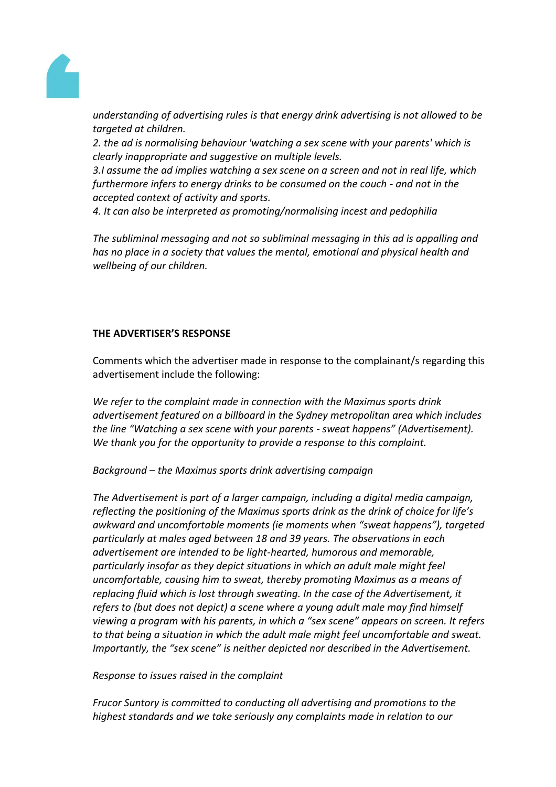

*understanding of advertising rules is that energy drink advertising is not allowed to be targeted at children.*

*2. the ad is normalising behaviour 'watching a sex scene with your parents' which is clearly inappropriate and suggestive on multiple levels.*

*3.I assume the ad implies watching a sex scene on a screen and not in real life, which furthermore infers to energy drinks to be consumed on the couch - and not in the accepted context of activity and sports.*

*4. It can also be interpreted as promoting/normalising incest and pedophilia*

*The subliminal messaging and not so subliminal messaging in this ad is appalling and has no place in a society that values the mental, emotional and physical health and wellbeing of our children.*

### **THE ADVERTISER'S RESPONSE**

Comments which the advertiser made in response to the complainant/s regarding this advertisement include the following:

*We refer to the complaint made in connection with the Maximus sports drink advertisement featured on a billboard in the Sydney metropolitan area which includes the line "Watching a sex scene with your parents - sweat happens" (Advertisement). We thank you for the opportunity to provide a response to this complaint.*

*Background – the Maximus sports drink advertising campaign*

*The Advertisement is part of a larger campaign, including a digital media campaign, reflecting the positioning of the Maximus sports drink as the drink of choice for life's awkward and uncomfortable moments (ie moments when "sweat happens"), targeted particularly at males aged between 18 and 39 years. The observations in each advertisement are intended to be light-hearted, humorous and memorable, particularly insofar as they depict situations in which an adult male might feel uncomfortable, causing him to sweat, thereby promoting Maximus as a means of replacing fluid which is lost through sweating. In the case of the Advertisement, it refers to (but does not depict) a scene where a young adult male may find himself viewing a program with his parents, in which a "sex scene" appears on screen. It refers to that being a situation in which the adult male might feel uncomfortable and sweat. Importantly, the "sex scene" is neither depicted nor described in the Advertisement.*

*Response to issues raised in the complaint*

*Frucor Suntory is committed to conducting all advertising and promotions to the highest standards and we take seriously any complaints made in relation to our*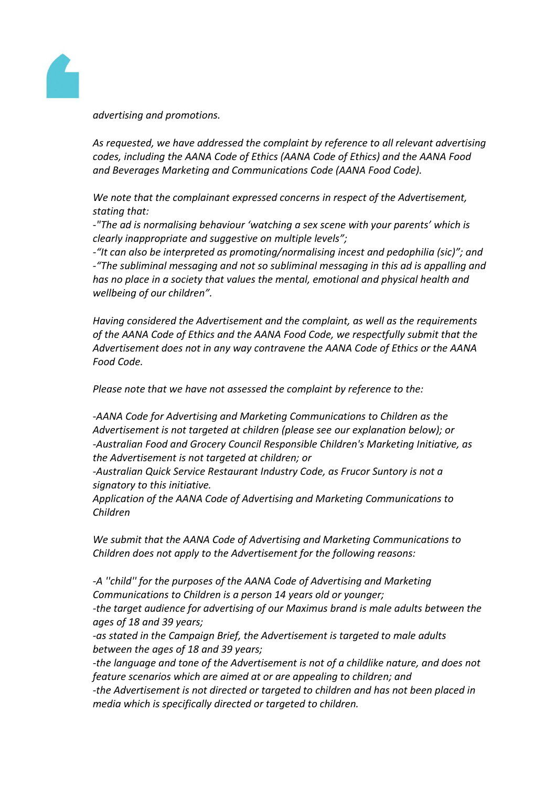

*advertising and promotions.*

*As requested, we have addressed the complaint by reference to all relevant advertising codes, including the AANA Code of Ethics (AANA Code of Ethics) and the AANA Food and Beverages Marketing and Communications Code (AANA Food Code).*

*We note that the complainant expressed concerns in respect of the Advertisement, stating that:*

*-"The ad is normalising behaviour 'watching a sex scene with your parents' which is clearly inappropriate and suggestive on multiple levels";*

*-"It can also be interpreted as promoting/normalising incest and pedophilia (sic)"; and -"The subliminal messaging and not so subliminal messaging in this ad is appalling and has no place in a society that values the mental, emotional and physical health and wellbeing of our children".*

*Having considered the Advertisement and the complaint, as well as the requirements of the AANA Code of Ethics and the AANA Food Code, we respectfully submit that the Advertisement does not in any way contravene the AANA Code of Ethics or the AANA Food Code.*

*Please note that we have not assessed the complaint by reference to the:*

*-AANA Code for Advertising and Marketing Communications to Children as the Advertisement is not targeted at children (please see our explanation below); or -Australian Food and Grocery Council Responsible Children's Marketing Initiative, as the Advertisement is not targeted at children; or*

*-Australian Quick Service Restaurant Industry Code, as Frucor Suntory is not a signatory to this initiative.*

*Application of the AANA Code of Advertising and Marketing Communications to Children*

*We submit that the AANA Code of Advertising and Marketing Communications to Children does not apply to the Advertisement for the following reasons:*

-A "child" for the purposes of the AANA Code of Advertising and Marketing *Communications to Children is a person 14 years old or younger; -the target audience for advertising of our Maximus brand is male adults between the ages of 18 and 39 years;*

*-as stated in the Campaign Brief, the Advertisement is targeted to male adults between the ages of 18 and 39 years;*

*-the language and tone of the Advertisement is not of a childlike nature, and does not feature scenarios which are aimed at or are appealing to children; and*

*-the Advertisement is not directed or targeted to children and has not been placed in media which is specifically directed or targeted to children.*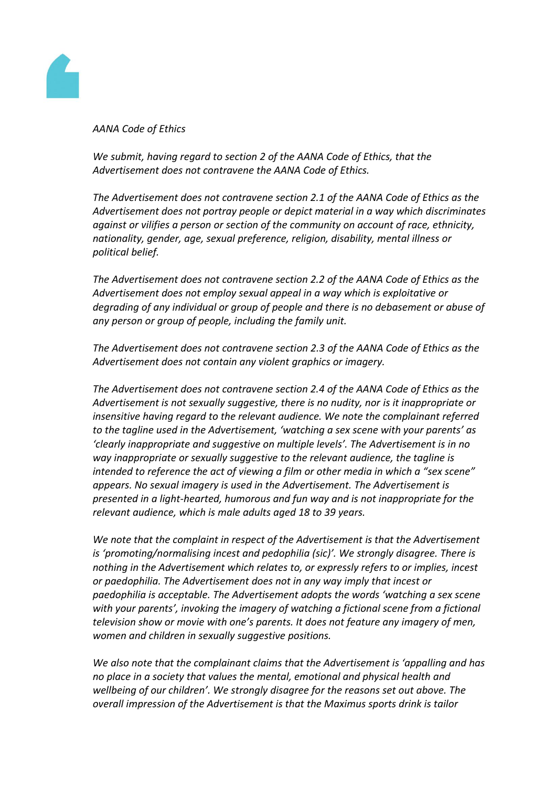

*AANA Code of Ethics*

*We submit, having regard to section 2 of the AANA Code of Ethics, that the Advertisement does not contravene the AANA Code of Ethics.*

*The Advertisement does not contravene section 2.1 of the AANA Code of Ethics as the Advertisement does not portray people or depict material in a way which discriminates against or vilifies a person or section of the community on account of race, ethnicity, nationality, gender, age, sexual preference, religion, disability, mental illness or political belief.*

*The Advertisement does not contravene section 2.2 of the AANA Code of Ethics as the Advertisement does not employ sexual appeal in a way which is exploitative or degrading of any individual or group of people and there is no debasement or abuse of any person or group of people, including the family unit.*

*The Advertisement does not contravene section 2.3 of the AANA Code of Ethics as the Advertisement does not contain any violent graphics or imagery.*

*The Advertisement does not contravene section 2.4 of the AANA Code of Ethics as the Advertisement is not sexually suggestive, there is no nudity, nor is it inappropriate or insensitive having regard to the relevant audience. We note the complainant referred to the tagline used in the Advertisement, 'watching a sex scene with your parents' as 'clearly inappropriate and suggestive on multiple levels'. The Advertisement is in no way inappropriate or sexually suggestive to the relevant audience, the tagline is intended to reference the act of viewing a film or other media in which a "sex scene" appears. No sexual imagery is used in the Advertisement. The Advertisement is presented in a light-hearted, humorous and fun way and is not inappropriate for the relevant audience, which is male adults aged 18 to 39 years.*

*We note that the complaint in respect of the Advertisement is that the Advertisement is 'promoting/normalising incest and pedophilia (sic)'. We strongly disagree. There is nothing in the Advertisement which relates to, or expressly refers to or implies, incest or paedophilia. The Advertisement does not in any way imply that incest or paedophilia is acceptable. The Advertisement adopts the words 'watching a sex scene with your parents', invoking the imagery of watching a fictional scene from a fictional television show or movie with one's parents. It does not feature any imagery of men, women and children in sexually suggestive positions.*

*We also note that the complainant claims that the Advertisement is 'appalling and has no place in a society that values the mental, emotional and physical health and wellbeing of our children'. We strongly disagree for the reasons set out above. The overall impression of the Advertisement is that the Maximus sports drink is tailor*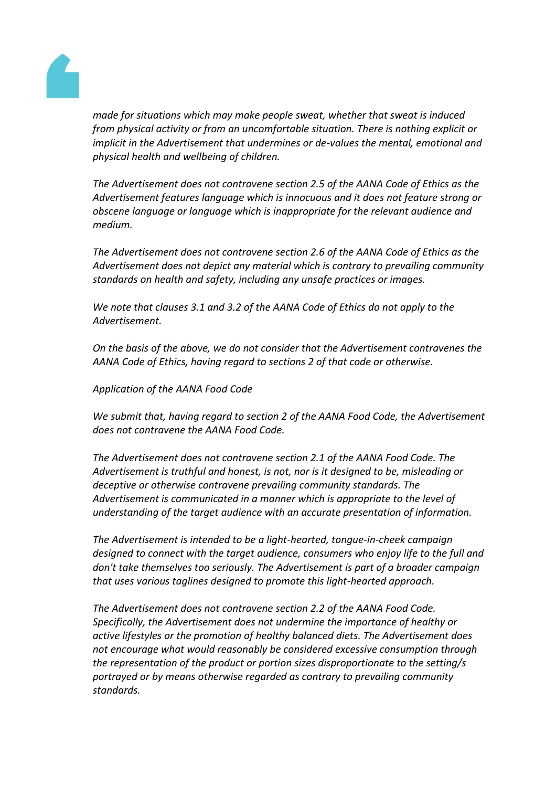

*made for situations which may make people sweat, whether that sweat is induced from physical activity or from an uncomfortable situation. There is nothing explicit or implicit in the Advertisement that undermines or de-values the mental, emotional and physical health and wellbeing of children.*

*The Advertisement does not contravene section 2.5 of the AANA Code of Ethics as the Advertisement features language which is innocuous and it does not feature strong or obscene language or language which is inappropriate for the relevant audience and medium.*

*The Advertisement does not contravene section 2.6 of the AANA Code of Ethics as the Advertisement does not depict any material which is contrary to prevailing community standards on health and safety, including any unsafe practices or images.*

*We note that clauses 3.1 and 3.2 of the AANA Code of Ethics do not apply to the Advertisement.*

*On the basis of the above, we do not consider that the Advertisement contravenes the AANA Code of Ethics, having regard to sections 2 of that code or otherwise.*

*Application of the AANA Food Code*

*We submit that, having regard to section 2 of the AANA Food Code, the Advertisement does not contravene the AANA Food Code.*

*The Advertisement does not contravene section 2.1 of the AANA Food Code. The Advertisement is truthful and honest, is not, nor is it designed to be, misleading or deceptive or otherwise contravene prevailing community standards. The Advertisement is communicated in a manner which is appropriate to the level of understanding of the target audience with an accurate presentation of information.*

*The Advertisement is intended to be a light-hearted, tongue-in-cheek campaign designed to connect with the target audience, consumers who enjoy life to the full and don't take themselves too seriously. The Advertisement is part of a broader campaign that uses various taglines designed to promote this light-hearted approach.*

*The Advertisement does not contravene section 2.2 of the AANA Food Code. Specifically, the Advertisement does not undermine the importance of healthy or active lifestyles or the promotion of healthy balanced diets. The Advertisement does not encourage what would reasonably be considered excessive consumption through the representation of the product or portion sizes disproportionate to the setting/s portrayed or by means otherwise regarded as contrary to prevailing community standards.*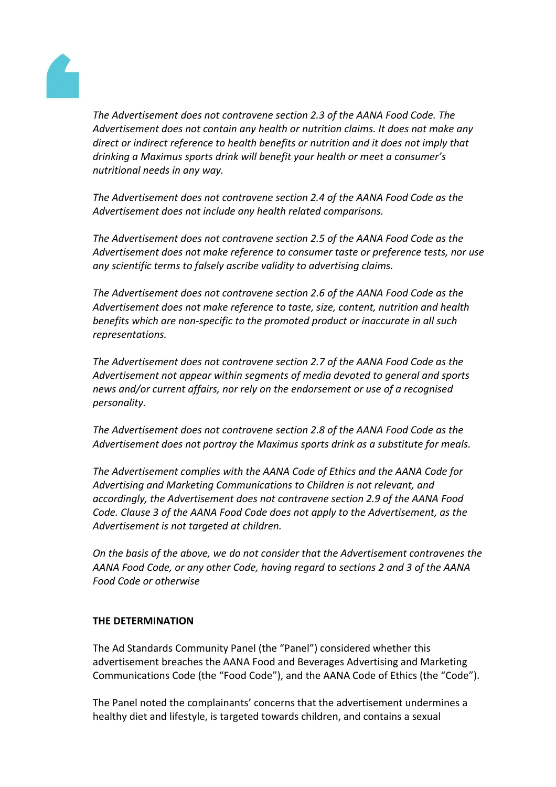

*The Advertisement does not contravene section 2.3 of the AANA Food Code. The Advertisement does not contain any health or nutrition claims. It does not make any direct or indirect reference to health benefits or nutrition and it does not imply that drinking a Maximus sports drink will benefit your health or meet a consumer's nutritional needs in any way.*

*The Advertisement does not contravene section 2.4 of the AANA Food Code as the Advertisement does not include any health related comparisons.*

*The Advertisement does not contravene section 2.5 of the AANA Food Code as the Advertisement does not make reference to consumer taste or preference tests, nor use any scientific terms to falsely ascribe validity to advertising claims.*

*The Advertisement does not contravene section 2.6 of the AANA Food Code as the Advertisement does not make reference to taste, size, content, nutrition and health benefits which are non-specific to the promoted product or inaccurate in all such representations.*

*The Advertisement does not contravene section 2.7 of the AANA Food Code as the Advertisement not appear within segments of media devoted to general and sports news and/or current affairs, nor rely on the endorsement or use of a recognised personality.*

*The Advertisement does not contravene section 2.8 of the AANA Food Code as the Advertisement does not portray the Maximus sports drink as a substitute for meals.*

*The Advertisement complies with the AANA Code of Ethics and the AANA Code for Advertising and Marketing Communications to Children is not relevant, and accordingly, the Advertisement does not contravene section 2.9 of the AANA Food Code. Clause 3 of the AANA Food Code does not apply to the Advertisement, as the Advertisement is not targeted at children.*

*On the basis of the above, we do not consider that the Advertisement contravenes the AANA Food Code, or any other Code, having regard to sections 2 and 3 of the AANA Food Code or otherwise*

## **THE DETERMINATION**

The Ad Standards Community Panel (the "Panel") considered whether this advertisement breaches the AANA Food and Beverages Advertising and Marketing Communications Code (the "Food Code"), and the AANA Code of Ethics (the "Code").

The Panel noted the complainants' concerns that the advertisement undermines a healthy diet and lifestyle, is targeted towards children, and contains a sexual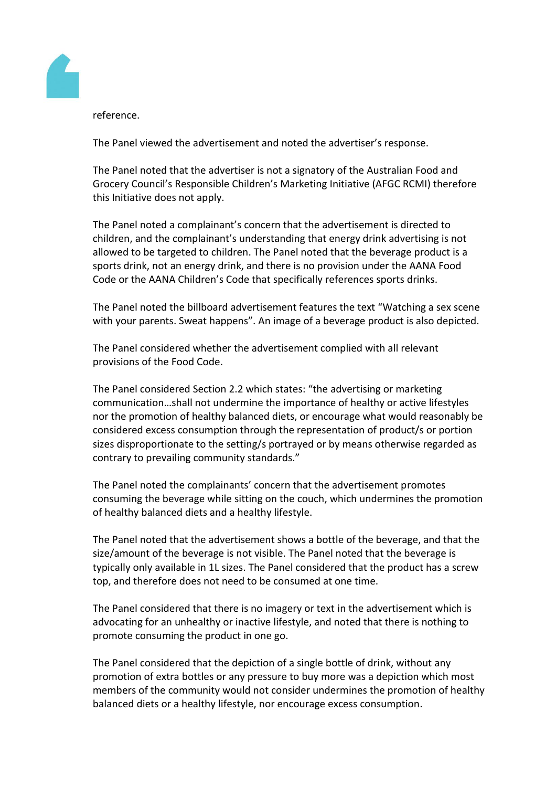

reference.

The Panel viewed the advertisement and noted the advertiser's response.

The Panel noted that the advertiser is not a signatory of the Australian Food and Grocery Council's Responsible Children's Marketing Initiative (AFGC RCMI) therefore this Initiative does not apply.

The Panel noted a complainant's concern that the advertisement is directed to children, and the complainant's understanding that energy drink advertising is not allowed to be targeted to children. The Panel noted that the beverage product is a sports drink, not an energy drink, and there is no provision under the AANA Food Code or the AANA Children's Code that specifically references sports drinks.

The Panel noted the billboard advertisement features the text "Watching a sex scene with your parents. Sweat happens". An image of a beverage product is also depicted.

The Panel considered whether the advertisement complied with all relevant provisions of the Food Code.

The Panel considered Section 2.2 which states: "the advertising or marketing communication…shall not undermine the importance of healthy or active lifestyles nor the promotion of healthy balanced diets, or encourage what would reasonably be considered excess consumption through the representation of product/s or portion sizes disproportionate to the setting/s portrayed or by means otherwise regarded as contrary to prevailing community standards."

The Panel noted the complainants' concern that the advertisement promotes consuming the beverage while sitting on the couch, which undermines the promotion of healthy balanced diets and a healthy lifestyle.

The Panel noted that the advertisement shows a bottle of the beverage, and that the size/amount of the beverage is not visible. The Panel noted that the beverage is typically only available in 1L sizes. The Panel considered that the product has a screw top, and therefore does not need to be consumed at one time.

The Panel considered that there is no imagery or text in the advertisement which is advocating for an unhealthy or inactive lifestyle, and noted that there is nothing to promote consuming the product in one go.

The Panel considered that the depiction of a single bottle of drink, without any promotion of extra bottles or any pressure to buy more was a depiction which most members of the community would not consider undermines the promotion of healthy balanced diets or a healthy lifestyle, nor encourage excess consumption.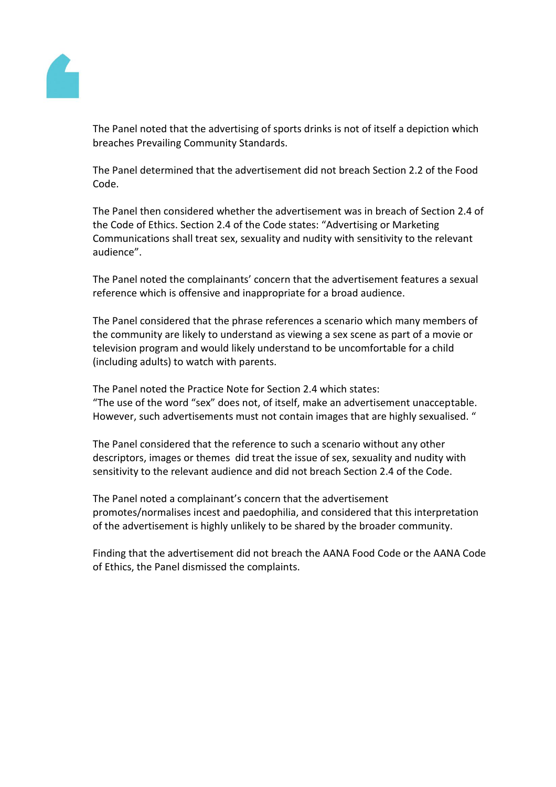

The Panel noted that the advertising of sports drinks is not of itself a depiction which breaches Prevailing Community Standards.

The Panel determined that the advertisement did not breach Section 2.2 of the Food Code.

The Panel then considered whether the advertisement was in breach of Section 2.4 of the Code of Ethics. Section 2.4 of the Code states: "Advertising or Marketing Communications shall treat sex, sexuality and nudity with sensitivity to the relevant audience".

The Panel noted the complainants' concern that the advertisement features a sexual reference which is offensive and inappropriate for a broad audience.

The Panel considered that the phrase references a scenario which many members of the community are likely to understand as viewing a sex scene as part of a movie or television program and would likely understand to be uncomfortable for a child (including adults) to watch with parents.

The Panel noted the Practice Note for Section 2.4 which states: "The use of the word "sex" does not, of itself, make an advertisement unacceptable. However, such advertisements must not contain images that are highly sexualised. "

The Panel considered that the reference to such a scenario without any other descriptors, images or themes did treat the issue of sex, sexuality and nudity with sensitivity to the relevant audience and did not breach Section 2.4 of the Code.

The Panel noted a complainant's concern that the advertisement promotes/normalises incest and paedophilia, and considered that this interpretation of the advertisement is highly unlikely to be shared by the broader community.

Finding that the advertisement did not breach the AANA Food Code or the AANA Code of Ethics, the Panel dismissed the complaints.